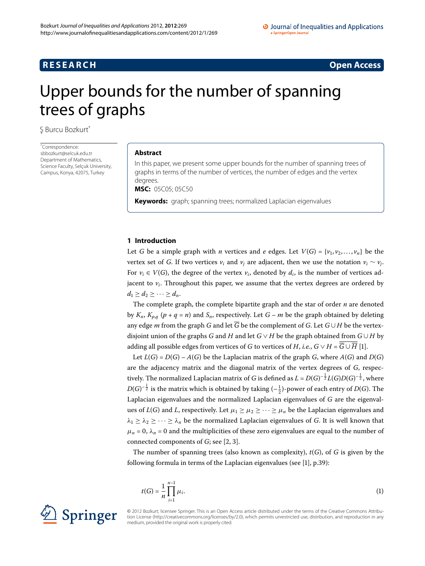# **RESEARCH CONSIDERED ACCESS**

# <span id="page-0-0"></span>Upper bounds for the number of spanning trees of graphs

\$ Burcu Bozkurt[\\*](#page-0-0)

\* Correspondence: [sbbozkurt@selcuk.edu.tr](mailto:sbbozkurt@selcuk.edu.tr) Department of Mathematics, Science Faculty, Selçuk University, Campus, Konya, 42075, Turkey

## **Abstract**

In this paper, we present some upper bounds for the number of spanning trees of graphs in terms of the number of vertices, the number of edges and the vertex degrees.

**MSC:** 05C05; 05C50

**Keywords:** graph; spanning trees; normalized Laplacian eigenvalues

# **1 Introduction**

Let *G* be a simple graph with *n* vertices and *e* edges. Let  $V(G) = \{v_1, v_2, \ldots, v_n\}$  be the vertex set of *G*. If two vertices  $v_i$  and  $v_j$  are adjacent, then we use the notation  $v_i \sim v_j$ . For  $v_i \in V(G)$ , the degree of the vertex  $v_i$ , denoted by  $d_i$ , is the number of vertices adjacent to  $v_i$ . Throughout this paper, we assume that the vertex degrees are ordered by  $d_1 > d_2 > \cdots > d_n$ .

The complete graph, the complete bipartite graph and the star of order *n* are denoted by  $K_n$ ,  $K_{p,q}$  ( $p + q = n$ ) and  $S_n$ , respectively. Let  $G - m$  be the graph obtained by deleting any edge *m* from the graph *G* and let  $\overline{G}$  be the complement of *G*. Let  $G \cup H$  be the vertexdisjoint union of the graphs *G* and *H* and let  $G \vee H$  be the graph obtained from  $G \cup H$  by adding all possible edges from vertices of *G* to vertices of *H*, *i.e.*,  $G \vee H = \overline{G} \cup \overline{H}$  [1].

Let  $L(G) = D(G) - A(G)$  be the Laplacian matrix of the graph *G*, where  $A(G)$  and  $D(G)$ are the adjacency matrix and the diagonal matrix of the vertex degrees of *G*, respectively. The normalized Laplacian matrix of *G* is defined as  $L$  =  $D(G)^{-\frac{1}{2}}L(G)D(G)^{-\frac{1}{2}}$  , where  $D(G)^{-\frac{1}{2}}$  is the matrix which is obtained by taking  $(-\frac{1}{2})$ -power of each entry of  $D(G)$ . The Laplacian eigenvalues and the normalized Laplacian eigenvalues of *G* are the eigenvalues of  $L(G)$  and *L*, respectively. Let  $\mu_1 \geq \mu_2 \geq \cdots \geq \mu_n$  be the Laplacian eigenvalues and  $\lambda_1 \geq \lambda_2 \geq \cdots \geq \lambda_n$  be the normalized Laplacian eigenvalues of *G*. It is well known that  $\mu_n = 0$ ,  $\lambda_n = 0$  and the multiplicities of these zero eigenvalues are equal to the number of connected components of *G*; see [\[](#page-6-1)2, 3[\]](#page-6-2).

The number of spanning trees (also known as complexity), *t*(*G*), of *G* is given by the following formula in terms of the Laplacian eigenvalues (see  $[1]$  $[1]$ , p.39):

$$
t(G) = \frac{1}{n} \prod_{i=1}^{n-1} \mu_i.
$$
 (1)



© 2012 Bozkurt; licensee Springer. This is an Open Access article distributed under the terms of the Creative Commons Attribution License ([http://creativecommons.org/licenses/by/2.0\)](http://creativecommons.org/licenses/by/2.0), which permits unrestricted use, distribution, and reproduction in any medium, provided the original work is properly cited.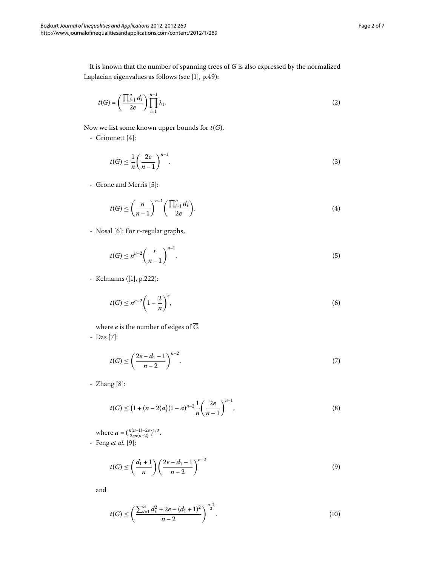It is known that the number of spanning trees of *G* is also expressed by the normalized Laplacian eigenvalues as follows (see  $[1]$  $[1]$ , p.49):

<span id="page-1-8"></span>
$$
t(G) = \left(\frac{\prod_{i=1}^{n} d_i}{2e}\right) \prod_{i=1}^{n-1} \lambda_i.
$$
 (2)

Now we list some known upper bounds for *t*(*G*).

- Grimmett $[4]$  $[4]$ :

<span id="page-1-2"></span><span id="page-1-0"></span>
$$
t(G) \le \frac{1}{n} \left(\frac{2e}{n-1}\right)^{n-1}.\tag{3}
$$

- Grone and Merris [5]:

<span id="page-1-1"></span>
$$
t(G) \le \left(\frac{n}{n-1}\right)^{n-1} \left(\frac{\prod_{i=1}^{n} d_i}{2e}\right).
$$
\n(4)

- Nosal [6]: For *r*-regular graphs,

<span id="page-1-4"></span>
$$
t(G) \le n^{n-2} \left(\frac{r}{n-1}\right)^{n-1}.\tag{5}
$$

- Kelmanns ([\[](#page-6-0)1], p.222):

<span id="page-1-3"></span>
$$
t(G) \le n^{n-2} \left(1 - \frac{2}{n}\right)^{\overline{e}},\tag{6}
$$

where  $\overline{e}$  is the number of edges of  $\overline{G}$ . - Das [7]:

<span id="page-1-6"></span>
$$
t(G) \le \left(\frac{2e - d_1 - 1}{n - 2}\right)^{n - 2}.\tag{7}
$$

 $-$  Zhang  $[8]$  $[8]$ :

<span id="page-1-5"></span>
$$
t(G) \le (1 + (n-2)a)(1-a)^{n-2} \frac{1}{n} \left(\frac{2e}{n-1}\right)^{n-1},
$$
\n(8)

where  $a = (\frac{n(n-1)-2e}{2en(n-2)})^{1/2}$ . - Feng *et al.* [9[\]](#page-6-8):

<span id="page-1-7"></span>
$$
t(G) \le \left(\frac{d_1+1}{n}\right) \left(\frac{2e - d_1 - 1}{n-2}\right)^{n-2} \tag{9}
$$

and

$$
t(G) \le \left(\frac{\sum_{i=1}^{n} d_i^2 + 2e - (d_1 + 1)^2}{n - 2}\right)^{\frac{n-2}{2}}.
$$
\n(10)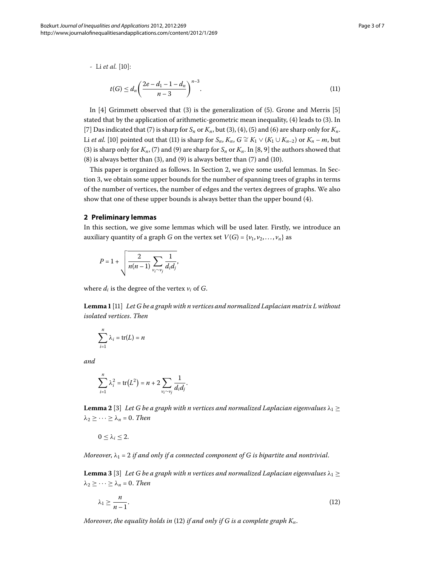- Li *et al.* [\[](#page-6-9)10]:

<span id="page-2-0"></span>
$$
t(G) \le d_n \left(\frac{2e - d_1 - 1 - d_n}{n - 3}\right)^{n - 3}.\tag{11}
$$

In  $[4]$  $[4]$  Grimmett observed that [\(](#page-1-0)3) is the generalization of (5). Grone and Merris [5] stated that by the application of arithmetic-geometric mean inequality,  $(4)$  $(4)$  leads to  $(3)$ . In [7[\]](#page-6-6) Das indicated that (7[\)](#page-1-1) is sharp for  $S_n$  or  $K_n$ , but [\(](#page-1-2)3), (4), (5) and (6) are sharp only for  $K_n$ . Li *et al.* [10[\]](#page-6-9) pointed out that [\(](#page-2-0)11) is sharp for  $S_n$ ,  $K_n$ ,  $G \cong K_1 \vee (K_1 \cup K_{n-2})$  or  $K_n - m$ , but (3[\)](#page-1-3) is sharp only for  $K_n$ , [\(](#page-1-5)7) and (9) are sharp for  $S_n$  or  $K_n$ . In [8[,](#page-6-7) 9] the authors showed that  $(8)$  $(8)$  is always better than  $(3)$  $(3)$ , and  $(9)$  is always better than  $(7)$  and  $(10)$ .

<span id="page-2-1"></span>This paper is organized as follows. In Section 2[,](#page-2-1) we give some useful lemmas. In Section 3, we obtain some upper bounds for the number of spanning trees of graphs in terms of the number of vertices, the number of edges and the vertex degrees of graphs. We also show that one of these upper bounds is always better than the upper bound (4).

### **2 Preliminary lemmas**

<span id="page-2-3"></span>In this section, we give some lemmas which will be used later. Firstly, we introduce an auxiliary quantity of a graph *G* on the vertex set  $V(G) = \{v_1, v_2, \ldots, v_n\}$  as

$$
P=1+\sqrt{\frac{2}{n(n-1)}\sum_{\nu_i\sim\nu_j}\frac{1}{d_id_j}},
$$

where  $d_i$  is the degree of the vertex  $v_i$  of  $G$ .

**Lemma**  [[\]](#page-6-10) *Let G be a graph with n vertices and normalized Laplacian matrix L without isolated vertices*. *Then*

$$
\sum_{i=1}^n \lambda_i = \text{tr}(L) = n
$$

<span id="page-2-4"></span>*and*

$$
\sum_{i=1}^n \lambda_i^2 = \text{tr}\big(L^2\big) = n + 2 \sum_{v_i \sim v_j} \frac{1}{d_i d_j}.
$$

**Lemma 2** [\[](#page-6-2)3] Let G be a graph with n vertices and normalized Laplacian eigenvalues  $\lambda_1 \geq$  $\lambda_2 \geq \cdots \geq \lambda_n = 0$ . *Then* 

<span id="page-2-2"></span> $0 \leq \lambda_i \leq 2$ .

*Moreover,*  $\lambda_1 = 2$  *if and only if a connected component of G is bipartite and nontrivial.* 

**Lemma 3** [\[](#page-6-2)3] Let G be a graph with n vertices and normalized Laplacian eigenvalues  $\lambda_1 \geq$  $\lambda_2 \geq \cdots \geq \lambda_n = 0$ . *Then* 

$$
\lambda_1 \ge \frac{n}{n-1}.\tag{12}
$$

*Moreover, the equality holds in* [\(](#page-2-2)12) *if and only if G is a complete graph*  $K_n$ *.*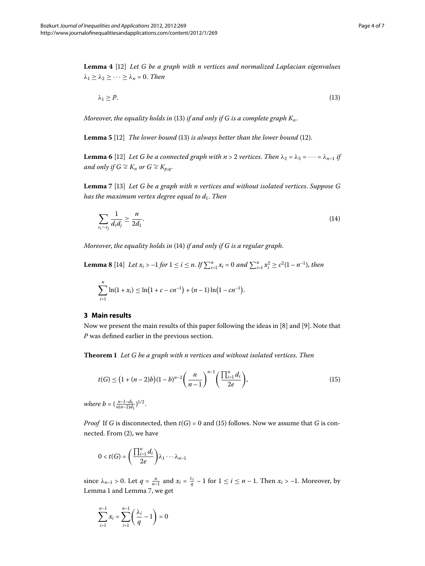<span id="page-3-7"></span><span id="page-3-6"></span>**Lemma**  [] *Let G be a graph with n vertices and normalized Laplacian eigenvalues*  $\lambda_1 \geq \lambda_2 \geq \cdots \geq \lambda_n = 0$ . *Then* 

<span id="page-3-8"></span><span id="page-3-2"></span><span id="page-3-1"></span>
$$
\lambda_1 \ge P. \tag{13}
$$

<span id="page-3-4"></span>*Moreover, the equality holds in* [\(](#page-3-1)13) *if and only if G is a complete graph*  $K_n$ .

**Lemma 5** [12[\]](#page-6-11) *The lower bound* [\(](#page-3-1)13) *is always better than the lower bound* (12).

**Lemma 6** [12] Let G be a connected graph with  $n > 2$  vertices. Then  $\lambda_2 = \lambda_3 = \cdots = \lambda_{n-1}$  if *and only if*  $G \cong K_n$  *or*  $G \cong K_{p,q}$ *.* 

<span id="page-3-5"></span>**Lemma** 7 [13] Let G be a graph with n vertices and without isolated vertices. Suppose G *has the maximum vertex degree equal to d*. *Then*

$$
\sum_{\nu_i \sim \nu_j} \frac{1}{d_i d_j} \ge \frac{n}{2d_1}.\tag{14}
$$

<span id="page-3-0"></span>*Moreover, the equality holds in* [\(](#page-3-2)14) *if and only if G is a regular graph.* 

**Lemma 8** [14[\]](#page-6-13) Let  $x_i > -1$  for  $1 \le i \le n$ . If  $\sum_{i=1}^n x_i = 0$  and  $\sum_{i=1}^n x_i^2 \ge c^2(1 - n^{-1})$ , then

<span id="page-3-3"></span>
$$
\sum_{i=1}^n \ln(1+x_i) \leq \ln(1+c-cn^{-1}) + (n-1)\ln(1-cn^{-1}).
$$

#### **3 Main results**

Now we present the main results of this paper following the ideas in  $[8]$  $[8]$  and  $[9]$ . Note that *P* was defined earlier in the previous section.

**Theorem**  *Let G be a graph with n vertices and without isolated vertices*. *Then*

$$
t(G) \le (1 + (n-2)b)(1-b)^{n-2} \left(\frac{n}{n-1}\right)^{n-1} \left(\frac{\prod_{i=1}^{n} d_i}{2e}\right),\tag{15}
$$

*where b* =  $\left(\frac{n-1-d_1}{n(n-2)d_1}\right)^{1/2}$ .

*Proof* If *G* is disconnected, then  $t(G) = 0$  $t(G) = 0$  $t(G) = 0$  and (15) follows. Now we assume that *G* is con-nected. From [\(](#page-1-8)2), we have

$$
0 < t(G) = \left(\frac{\prod_{i=1}^{n} d_i}{2e}\right) \lambda_1 \cdots \lambda_{n-1}
$$

since  $\lambda_{n-1} > 0$ . Let  $q = \frac{n}{n-1}$  and  $x_i = \frac{\lambda_i}{q} - 1$  for  $1 \le i \le n - 1$ . Then  $x_i > -1$ . Moreover, by Lemma 1 and Lemma 7[,](#page-3-4) we get

$$
\sum_{i=1}^{n-1} x_i = \sum_{i=1}^{n-1} \left( \frac{\lambda_i}{q} - 1 \right) = 0
$$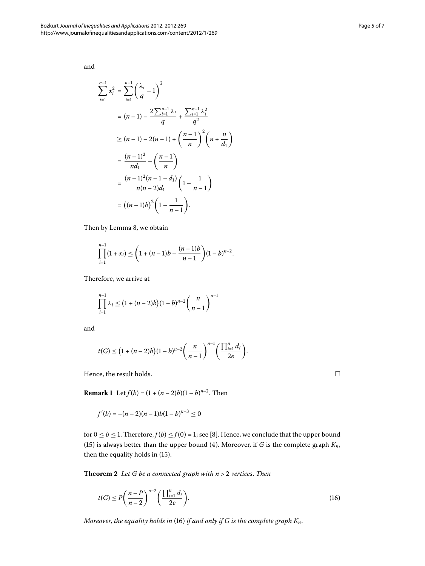and

$$
\sum_{i=1}^{n-1} x_i^2 = \sum_{i=1}^{n-1} \left(\frac{\lambda_i}{q} - 1\right)^2
$$
  
=  $(n-1) - \frac{2 \sum_{i=1}^{n-1} \lambda_i}{q} + \frac{\sum_{i=1}^{n-1} \lambda_i^2}{q^2}$   

$$
\geq (n-1) - 2(n-1) + \left(\frac{n-1}{n}\right)^2 \left(n + \frac{n}{d_1}\right)
$$
  
=  $\frac{(n-1)^2}{nd_1} - \left(\frac{n-1}{n}\right)$   
=  $\frac{(n-1)^2(n-1-d_1)}{n(n-2)d_1} \left(1 - \frac{1}{n-1}\right)$   
=  $((n-1)b)^2 \left(1 - \frac{1}{n-1}\right).$ 

Then by Lemma 8[,](#page-3-5) we obtain

$$
\prod_{i=1}^{n-1} (1+x_i) \leq \left(1+(n-1)b-\frac{(n-1)b}{n-1}\right)(1-b)^{n-2}.
$$

Therefore, we arrive at

$$
\prod_{i=1}^{n-1} \lambda_i \le (1 + (n-2)b)(1-b)^{n-2} \left(\frac{n}{n-1}\right)^{n-1}
$$

and

$$
t(G) \leq (1 + (n-2)b)(1-b)^{n-2}\left(\frac{n}{n-1}\right)^{n-1}\left(\frac{\prod_{i=1}^{n}d_i}{2e}\right).
$$

Hence, the result holds.

**Remark 1** Let  $f(b) = (1 + (n-2)b)(1-b)^{n-2}$ . Then

$$
f'(b) = -(n-2)(n-1)b(1-b)^{n-3} \le 0
$$

for  $0 \le b \le 1$ . Therefore,  $f(b) \le f(0) = 1$ ; see [\[](#page-6-7)8]. Hence, we conclude that the upper bound (15[\)](#page-3-3) is always better than the upper bound (4). Moreover, if *G* is the complete graph  $K_n$ , then the equality holds in [\(](#page-3-3)15).

**Theorem**  *Let G be a connected graph with n* > *vertices*. *Then*

$$
t(G) \le P\left(\frac{n-P}{n-2}\right)^{n-2} \left(\frac{\prod_{i=1}^{n} d_i}{2e}\right).
$$
\n(16)

*Moreover*, *the equality holds in* [\(](#page-4-0)) *if and only if G is the complete graph Kn*.

<span id="page-4-0"></span> $\Box$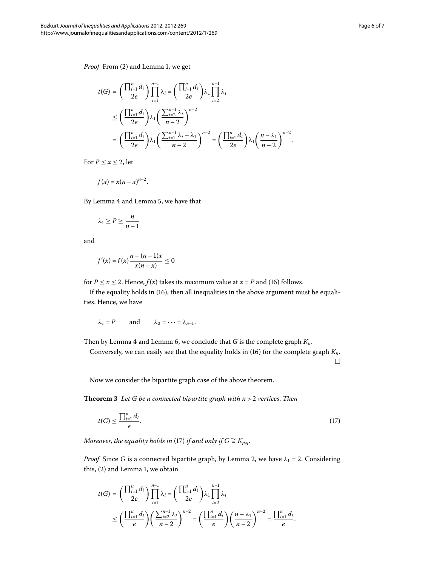*Proof* From [\(](#page-1-8)2) and Lemma 1[,](#page-2-3) we get

$$
t(G) = \left(\frac{\prod_{i=1}^{n} d_i}{2e}\right) \prod_{i=1}^{n-1} \lambda_i = \left(\frac{\prod_{i=1}^{n} d_i}{2e}\right) \lambda_1 \prod_{i=2}^{n-1} \lambda_i
$$
  

$$
\leq \left(\frac{\prod_{i=1}^{n} d_i}{2e}\right) \lambda_1 \left(\frac{\sum_{i=2}^{n-1} \lambda_i}{n-2}\right)^{n-2}
$$
  

$$
= \left(\frac{\prod_{i=1}^{n} d_i}{2e}\right) \lambda_1 \left(\frac{\sum_{i=1}^{n-1} \lambda_i - \lambda_1}{n-2}\right)^{n-2} = \left(\frac{\prod_{i=1}^{n} d_i}{2e}\right) \lambda_1 \left(\frac{n-\lambda_1}{n-2}\right)^{n-2}.
$$

For  $P \leq x \leq 2$ , let

$$
f(x) = x(n - x)^{n-2}.
$$

By Lemma 4 and Lemma 5, we have that

$$
\lambda_1 \ge P \ge \frac{n}{n-1}
$$

and

$$
f'(x) = f(x) \frac{n - (n-1)x}{x(n-x)} \le 0
$$

for  $P \le x \le 2$ . Hence,  $f(x)$  $f(x)$  takes its maximum value at  $x = P$  and (16) follows.

If the equality holds in [\(](#page-4-0)16), then all inequalities in the above argument must be equalities. Hence, we have

<span id="page-5-0"></span>
$$
\lambda_1 = P
$$
 and  $\lambda_2 = \cdots = \lambda_{n-1}$ .

Then by Lemma 4 and Lemma 6, we conclude that *G* is the complete graph  $K_n$ .

Conversely, we can easily see that the equality holds in  $(16)$  $(16)$  for the complete graph  $K_n$ .  $\Box$ 

Now we consider the bipartite graph case of the above theorem.

**Theorem**  *Let G be a connected bipartite graph with n* > *vertices*. *Then*

$$
t(G) \le \frac{\prod_{i=1}^{n} d_i}{e}.\tag{17}
$$

*Moreover, the equality holds in* (17) *if and only if*  $G \cong K_{p,q}$ *.* 

*Proof* Since *G* is a connected bipartite graph, by Lemma 2, we have  $\lambda_1 = 2$ . Considering this[,](#page-2-3)  $(2)$  $(2)$  and Lemma 1, we obtain

$$
t(G) = \left(\frac{\prod_{i=1}^{n} d_i}{2e}\right) \prod_{i=1}^{n-1} \lambda_i = \left(\frac{\prod_{i=1}^{n} d_i}{2e}\right) \lambda_1 \prod_{i=2}^{n-1} \lambda_i
$$
  

$$
\leq \left(\frac{\prod_{i=1}^{n} d_i}{e}\right) \left(\frac{\sum_{i=2}^{n-1} \lambda_i}{n-2}\right)^{n-2} = \left(\frac{\prod_{i=1}^{n} d_i}{e}\right) \left(\frac{n-\lambda_1}{n-2}\right)^{n-2} = \frac{\prod_{i=1}^{n} d_i}{e}.
$$